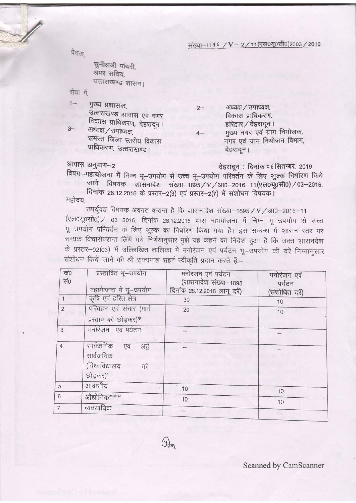संख्या-1196 / V-2/11(एल0यू०सी0)2003 / 2019

प्रेषक,

सुनीलश्री पांथरी, अपर सचिव. उत्तराखण्ड शासन।

सेवा में

 $3-$ 

 $1 -$ मुख्य प्रशासक. उत्तराखण्ड आवास एवं नगर विकास प्राधिकरण, देहरादून। अध्यक्ष / उपाध्यक्ष,

समस्त जिला स्तरीय विकास प्राधिकरण, उत्तराखण्ड।

अध्यक्ष / उपाध्यक्ष,  $2 -$ विकास प्राधिकरण, हरिद्वार / देहरादून । मुख्य नगर एवं ग्राम नियोजक, नगर एवं ग्राम नियोजन विभाग, देहरादून।

आवास अनुभाग-2

देहरादून: दिनांक ० 6 सितम्बर, 2019

विषय-महायोजना में निम्न भू-उपयोग से उच्च भू-उपयोग परिवर्तन के लिए शुल्क निर्धारण किये जाने विषयक शासनादेश संख्या-1895 / V / आ0-2016-11 (एल0यू0सी0) / 03-2016,

दिनांक 28.12.2016 के प्रस्तर-2(3) एवं प्रस्तर-2(7) में संशोधन विषयक।

महोदय

उपर्युक्त विषयक अवगत कराना है कि शासनादेश संख्या-1895 / V / आ0-2016-11 (एल0यू0सी0) / 03-2016, दिनांक 28.12.2016 द्वारा महायोजना में निम्न भू-उपयोग से उच्च भू-उपयोग परिवर्तन के लिए शुल्क का निर्धारण किया गया है। इस सम्बन्ध में शासन रतर पर सम्यक विचारोपरान्त लिये गये निर्णयानुसार मुझे यह कहने का निदेश हुआ है कि उक्त शासनदेश के प्रस्तर-02(03) में उल्लिखित तालिका में मनोरंजन एवं पर्यटन भू-उपयोग की दरें निम्नानुसार संशोधन किये जाने की श्री राज्यपाल सहर्ष स्वीकृति प्रदान करते हैं:--

| $\overline{\phi}0$<br>सं० | प्रस्तावित गू-उपयोग<br>महायेाजना में भू-उपयोग                               | मनोरंजन एवं पर्यटन<br>(शासनादेश संख्या-1895<br>दिनांक 28.12.2016 लागू दरें) | मनोरंजन एवं<br>पर्यटन<br>(संशोधित दरें) |
|---------------------------|-----------------------------------------------------------------------------|-----------------------------------------------------------------------------|-----------------------------------------|
|                           | कृषि एवं हरित क्षेत्र                                                       | 30                                                                          | 10                                      |
| $\overline{c}$            | परिवहन एवं संचार (मार्ग<br>प्रस्ताव को छोड़कर)*                             | 20                                                                          | 10                                      |
| 3                         | मनोरंजन एवं पर्यटन                                                          |                                                                             |                                         |
| $\overline{4}$            | सार्वजनिक<br>एवं<br>अर्द्व<br>सार्वजनिक<br>(विश्वविद्यालय<br>को<br>छोड़कर)' |                                                                             |                                         |
| 5                         | आवासीय                                                                      | 10                                                                          |                                         |
| $\sqrt{6}$                | औद्योगिक***                                                                 | 10                                                                          | 10                                      |
|                           | व्यवसायिक                                                                   |                                                                             | 10                                      |
|                           |                                                                             |                                                                             |                                         |

 $\mathbb{G}_{\mathbb{G}_{m}}$ 

Scanned by CamScanner